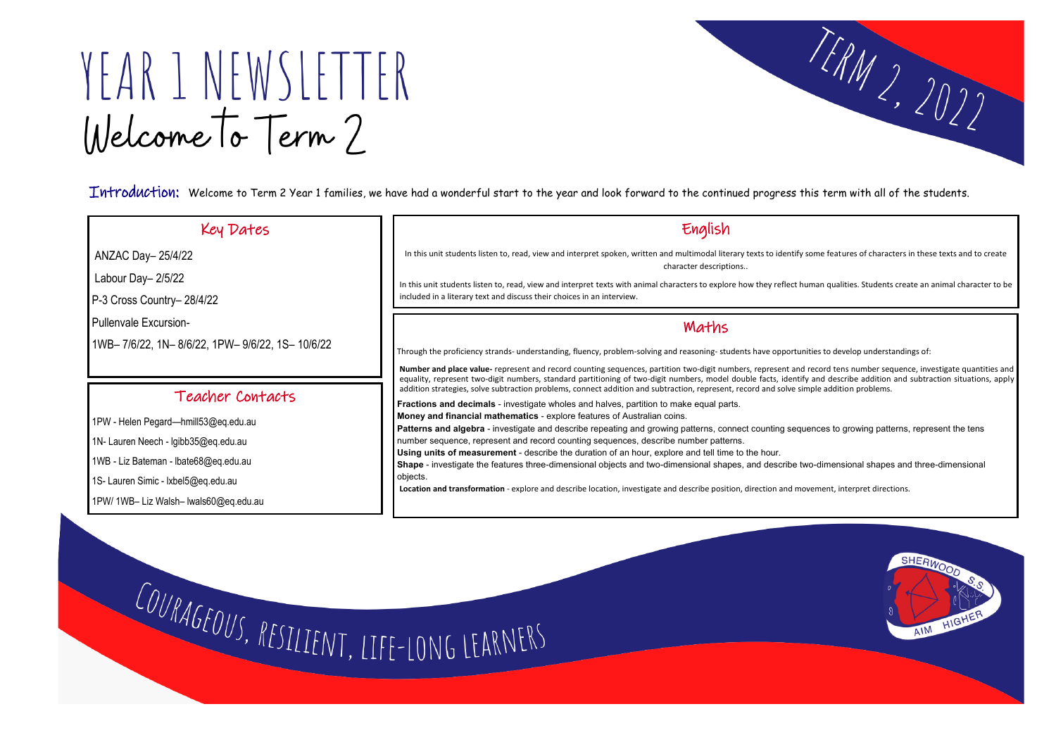# YEAR 1 NEWSLETTER Welcome To Term?

Introduction: Welcome to Term 2 Year 1 families, we have had a wonderful start to the year and look forward to the continued progress this term with all of the students.

 $\overline{\phantom{a}}$ ANZAC Day– 25/4/22

#### Key Dates

Labour Day– 2/5/22

P-3 Cross Country– 28/4/22

Pullenvale Excursion-

1WB– 7/6/22, 1N– 8/6/22, 1PW– 9/6/22, 1S– 10/6/22

### English

In this unit students listen to, read, view and interpret spoken, written and multimodal literary texts to identify some features of characters in these texts and to create character descriptions..

In this unit students listen to, read, view and interpret texts with animal characters to explore how they reflect human qualities. Students create an animal character to be included in a literary text and discuss their choices in an interview.

### Teacher Contacts

1PW - Helen Pegard—hmill53@eq.edu.au

1N- Lauren Neech - lgibb35@eq.edu.au

1WB - Liz Bateman - lbate68@eq.edu.au

1S- Lauren Simic - lxbel5@eq.edu.au

1PW/ 1WB– Liz Walsh– lwals60@eq.edu.au

### Maths

Through the proficiency strands- understanding, fluency, problem-solving and reasoning- students have opportunities to develop understandings of:

**Number and place value-** represent and record counting sequences, partition two-digit numbers, represent and record tens number sequence, investigate quantities and equality, represent two-digit numbers, standard partitioning of two-digit numbers, model double facts, identify and describe addition and subtraction situations, apply addition strategies, solve subtraction problems, connect addition and subtraction, represent, record and solve simple addition problems.

**Fractions and decimals** - investigate wholes and halves, partition to make equal parts.

**Money and financial mathematics** - explore features of Australian coins.

**Patterns and algebra** - investigate and describe repeating and growing patterns, connect counting sequences to growing patterns, represent the tens



number sequence, represent and record counting sequences, describe number patterns.

**Using units of measurement** - describe the duration of an hour, explore and tell time to the hour.

**Shape** - investigate the features three-dimensional objects and two-dimensional shapes, and describe two-dimensional shapes and three-dimensional objects.

**Location and transformation** - explore and describe location, investigate and describe position, direction and movement, interpret directions.

COURAGEOUS, RESILIENT, LIFE-LONG LEARNERS